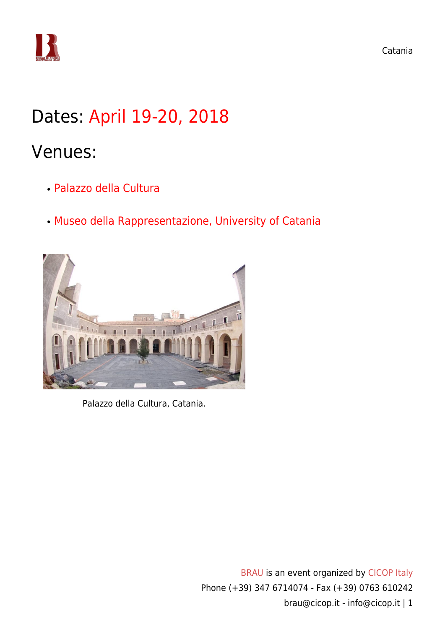

### Dates: April 19-20, 2018

### Venues:

- Palazzo della Cultura
- [Museo della Rappresentazione, University of Catania](http://www.museorappresentazione.unict.it/)



Palazzo della Cultura, Catania.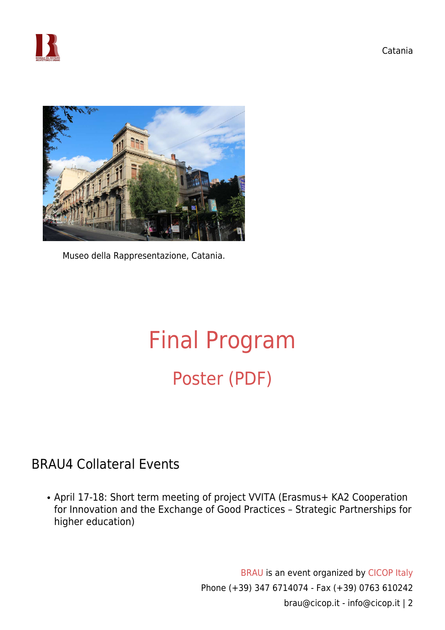



Museo della Rappresentazione, Catania.

# [Final Program](https://www.cicop.it/brau/en/brau4-locations/catania/final-program/) [Poster \(PDF\)](https://www.cicop.it/brau/wp-content/uploads/2018/04/BRAU4-Catania-Poster.opt_.pdf)

### BRAU4 Collateral Events

April 17-18: Short term meeting of project VVITA (Erasmus+ KA2 Cooperation for Innovation and the Exchange of Good Practices – Strategic Partnerships for higher education)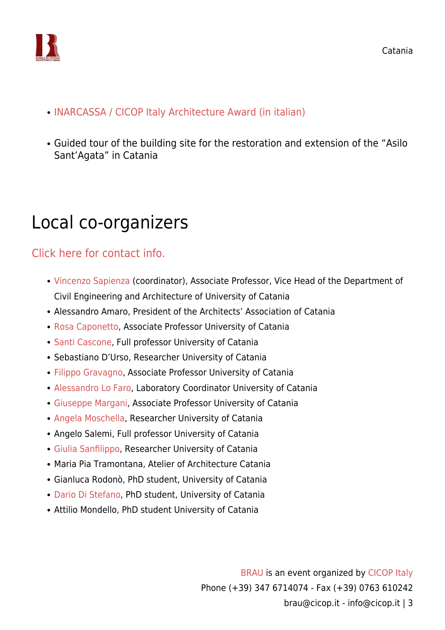

- [INARCASSA / CICOP Italy Architecture Award \(in italian\)](https://www.cicop.it/brau/it/brau4-premio-inarcassa-cicop/)
- Guided tour of the building site for the restoration and extension of the "Asilo Sant'Agata" in Catania

### Local co-organizers

#### [Click here for contact info.](https://www.cicop.it/brau/it/local-organizers-contact-info/)

- [Vincenzo Sapienza](https://www.cicop.it/brau/en/people/vincenzo-sapienza/) (coordinator), Associate Professor, Vice Head of the Department of Civil Engineering and Architecture of University of Catania
- Alessandro Amaro, President of the Architects' Association of Catania
- [Rosa Caponetto](https://www.cicop.it/brau/en/people/rosa-caponetto/), Associate Professor University of Catania
- [Santi Cascone](https://www.cicop.it/brau/en/people/santi-maria-cascone/), Full professor University of Catania
- Sebastiano D'Urso, Researcher University of Catania
- [Filippo Gravagno](https://www.cicop.it/brau/en/people/filippo-gravagno/), Associate Professor University of Catania
- [Alessandro Lo Faro](https://www.cicop.it/brau/en/people/brief-cv-of-alessandro-lo-faro/), Laboratory Coordinator University of Catania
- [Giuseppe Margani](https://www.cicop.it/brau/en/people/giuseppe-margani/), Associate Professor University of Catania
- [Angela Moschella,](https://www.cicop.it/brau/en/people/angela-moschella/) Researcher University of Catania
- Angelo Salemi, Full professor University of Catania
- [Giulia Sanfilippo](https://www.cicop.it/brau/en/giulia-sanfilippo/), Researcher University of Catania
- Maria Pia Tramontana, Atelier of Architecture Catania
- Gianluca Rodonò, PhD student, University of Catania
- [Dario Di Stefano](https://www.cicop.it/brau/en/people/brief-cv-of-dario-di-stefano/), PhD student, University of Catania
- Attilio Mondello, PhD student University of Catania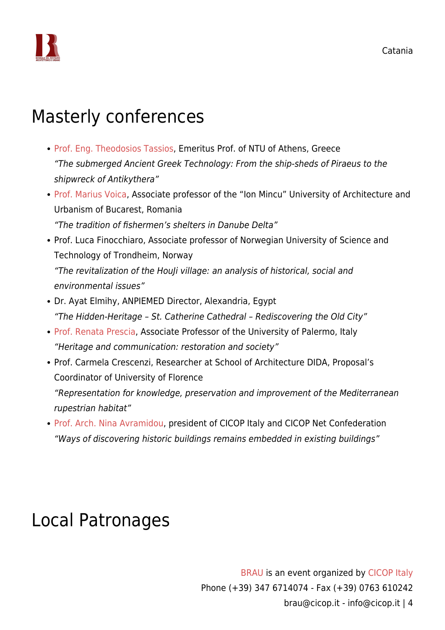

### Masterly conferences

- [Prof. Eng. Theodosios Tassios](https://www.cicop.it/brau/en/people/theodosios-tassios/), Emeritus Prof. of NTU of Athens, Greece "The submerged Ancient Greek Technology: From the ship-sheds of Piraeus to the shipwreck of Antikythera"
- [Prof. Marius Voica,](https://www.cicop.it/brau/en/people/marius-voica/) Associate professor of the "Ion Mincu" University of Architecture and Urbanism of Bucarest, Romania "The tradition of fishermen's shelters in Danube Delta"
- Prof. Luca Finocchiaro, Associate professor of Norwegian University of Science and Technology of Trondheim, Norway "The revitalization of the HouJi village: an analysis of historical, social and environmental issues"
- Dr. Ayat Elmihy, ANPIEMED Director, Alexandria, Egypt "The Hidden-Heritage – St. Catherine Cathedral – Rediscovering the Old City"
- [Prof. Renata Prescia](https://www.cicop.it/brau/en/people/renata-prescia/), Associate Professor of the University of Palermo, Italy "Heritage and communication: restoration and society"
- Prof. Carmela Crescenzi, Researcher at School of Architecture DIDA, Proposal's Coordinator of University of Florence

"Representation for knowledge, preservation and improvement of the Mediterranean rupestrian habitat"

• [Prof. Arch. Nina Avramidou,](https://www.cicop.it/brau/en/people/nina-avramidou/) president of CICOP Italy and CICOP Net Confederation "Ways of discovering historic buildings remains embedded in existing buildings"

### Local Patronages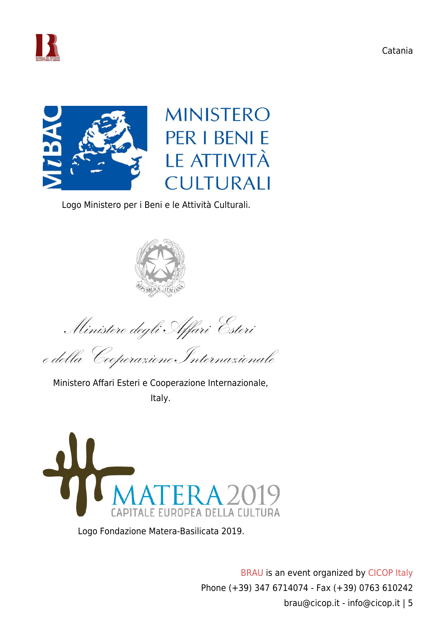



## **MINISTERO** PER I BENI E **I F ATTIVITÀ CULTURALI**

Logo Ministero per i Beni e le Attività Culturali.



Ministero degli Affari Esteri

e della Cooperazione Internazionale

Ministero Affari Esteri e Cooperazione Internazionale, Italy.



Logo Fondazione Matera-Basilicata 2019.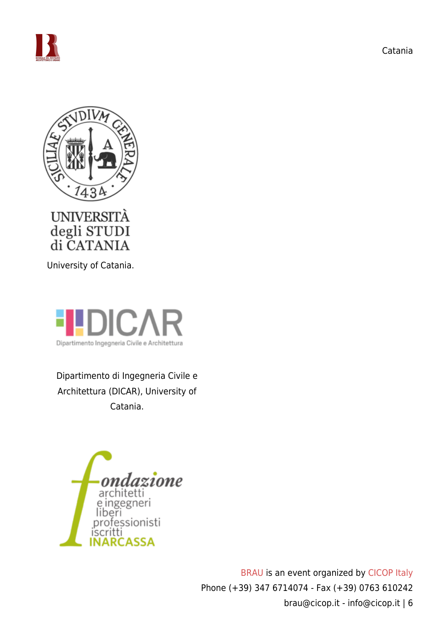





University of Catania.



Dipartimento di Ingegneria Civile e Architettura (DICAR), University of Catania.